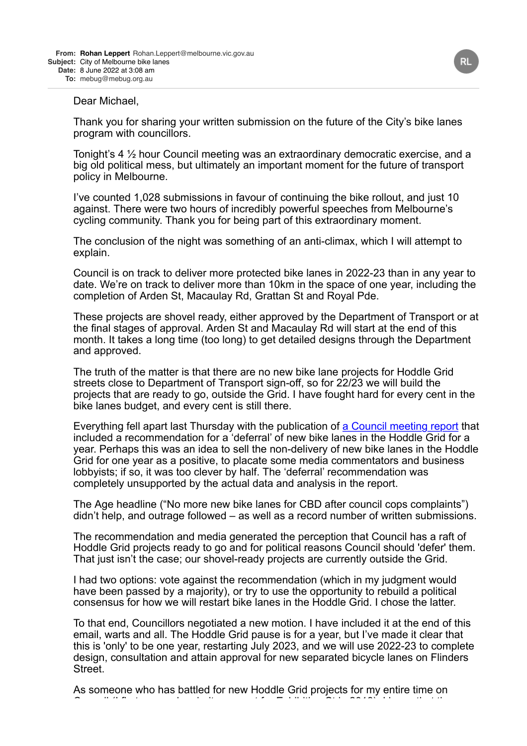## Dear Michael,

Thank you for sharing your written submission on the future of the City's bike lanes program with councillors.

Tonight's 4 ½ hour Council meeting was an extraordinary democratic exercise, and a big old political mess, but ultimately an important moment for the future of transport policy in Melbourne.

I've counted 1,028 submissions in favour of continuing the bike rollout, and just 10 against. There were two hours of incredibly powerful speeches from Melbourne's cycling community. Thank you for being part of this extraordinary moment.

The conclusion of the night was something of an anti-climax, which I will attempt to explain.

Council is on track to deliver more protected bike lanes in 2022-23 than in any year to date. We're on track to deliver more than 10km in the space of one year, including the completion of Arden St, Macaulay Rd, Grattan St and Royal Pde.

These projects are shovel ready, either approved by the Department of Transport or at the final stages of approval. Arden St and Macaulay Rd will start at the end of this month. It takes a long time (too long) to get detailed designs through the Department and approved.

The truth of the matter is that there are no new bike lane projects for Hoddle Grid streets close to Department of Transport sign-off, so for 22/23 we will build the projects that are ready to go, outside the Grid. I have fought hard for every cent in the bike lanes budget, and every cent is still there.

Everything fell apart last Thursday with the publication of [a Council meeting report](https://www.melbourne.vic.gov.au/about-council/committees-meetings/meeting-archive/MeetingAgendaItemAttachments/983/17462/JUN22%20FMC1%20AGENDA%20ITEM%206.9.pdf) that included a recommendation for a 'deferral' of new bike lanes in the Hoddle Grid for a year. Perhaps this was an idea to sell the non-delivery of new bike lanes in the Hoddle Grid for one year as a positive, to placate some media commentators and business lobbyists; if so, it was too clever by half. The 'deferral' recommendation was completely unsupported by the actual data and analysis in the report.

The Age headline ("No more new bike lanes for CBD after council cops complaints") didn't help, and outrage followed – as well as a record number of written submissions.

The recommendation and media generated the perception that Council has a raft of Hoddle Grid projects ready to go and for political reasons Council should 'defer' them. That just isn't the case; our shovel-ready projects are currently outside the Grid.

I had two options: vote against the recommendation (which in my judgment would have been passed by a majority), or try to use the opportunity to rebuild a political consensus for how we will restart bike lanes in the Hoddle Grid. I chose the latter.

To that end, Councillors negotiated a new motion. I have included it at the end of this email, warts and all. The Hoddle Grid pause is for a year, but I've made it clear that this is 'only' to be one year, restarting July 2023, and we will use 2022-23 to complete design, consultation and attain approval for new separated bicycle lanes on Flinders Street.

As someone who has battled for new Hoddle Grid projects for my entire time on Council (I first secured majority support for Exhibition St in 2018), I know that these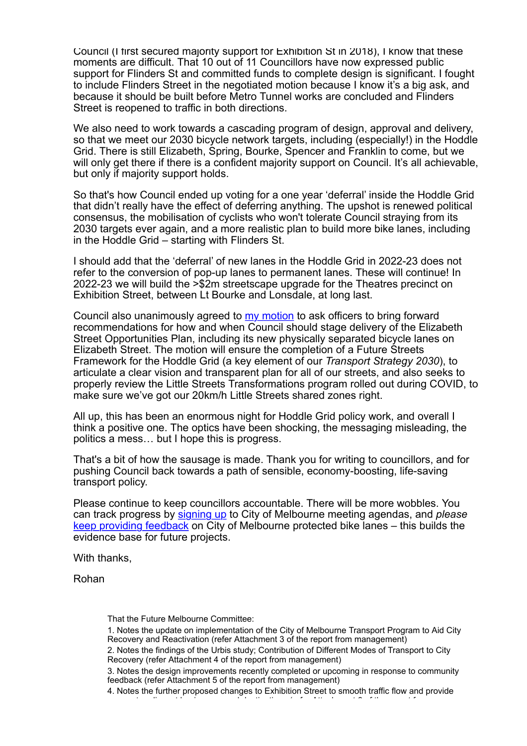Council (I first secured majority support for Exhibition St in 2018), I know that these moments are difficult. That 10 out of 11 Councillors have now expressed public support for Flinders St and committed funds to complete design is significant. I fought to include Flinders Street in the negotiated motion because I know it's a big ask, and because it should be built before Metro Tunnel works are concluded and Flinders Street is reopened to traffic in both directions.

We also need to work towards a cascading program of design, approval and delivery, so that we meet our 2030 bicycle network targets, including (especially!) in the Hoddle Grid. There is still Elizabeth, Spring, Bourke, Spencer and Franklin to come, but we will only get there if there is a confident majority support on Council. It's all achievable, but only if majority support holds.

So that's how Council ended up voting for a one year 'deferral' inside the Hoddle Grid that didn't really have the effect of deferring anything. The upshot is renewed political consensus, the mobilisation of cyclists who won't tolerate Council straying from its 2030 targets ever again, and a more realistic plan to build more bike lanes, including in the Hoddle Grid – starting with Flinders St.

I should add that the 'deferral' of new lanes in the Hoddle Grid in 2022-23 does not refer to the conversion of pop-up lanes to permanent lanes. These will continue! In 2022-23 we will build the >\$2m streetscape upgrade for the Theatres precinct on Exhibition Street, between Lt Bourke and Lonsdale, at long last.

Council also unanimously agreed to [my motion](https://www.melbourne.vic.gov.au/about-council/committees-meetings/meeting-archive/MeetingAgendaItemAttachments/983/17463/JUN22%20FMC1%20AGENDA%20ITEM%207.1.pdf) to ask officers to bring forward recommendations for how and when Council should stage delivery of the Elizabeth Street Opportunities Plan, including its new physically separated bicycle lanes on Elizabeth Street. The motion will ensure the completion of a Future Streets Framework for the Hoddle Grid (a key element of our *Transport Strategy 2030*), to articulate a clear vision and transparent plan for all of our streets, and also seeks to properly review the Little Streets Transformations program rolled out during COVID, to make sure we've got our 20km/h Little Streets shared zones right.

All up, this has been an enormous night for Hoddle Grid policy work, and overall I think a positive one. The optics have been shocking, the messaging misleading, the politics a mess… but I hope this is progress.

That's a bit of how the sausage is made. Thank you for writing to councillors, and for pushing Council back towards a path of sensible, economy-boosting, life-saving transport policy.

Please continue to keep councillors accountable. There will be more wobbles. You can track progress by [signing up](mailto:com.meetings@melbourne.vic.gov.au?subject=Please%20add%20me%20to%20the%20meetings%20notification%20list) to City of Melbourne meeting agendas, and *please* [keep providing feedback](https://participate.melbourne.vic.gov.au/new-bike-lanes) on City of Melbourne protected bike lanes – this builds the evidence base for future projects.

With thanks,

Rohan

That the Future Melbourne Committee:

1. Notes the update on implementation of the City of Melbourne Transport Program to Aid City Recovery and Reactivation (refer Attachment 3 of the report from management)

3. Notes the design improvements recently completed or upcoming in response to community feedback (refer Attachment 5 of the report from management)

<sup>2.</sup> Notes the findings of the Urbis study; Contribution of Different Modes of Transport to City Recovery (refer Attachment 4 of the report from management)

<sup>4.</sup> Notes the further proposed changes to Exhibition Street to smooth traffic flow and provide access to adjacent businesses and destinations (refer Attachment 6 of the report from